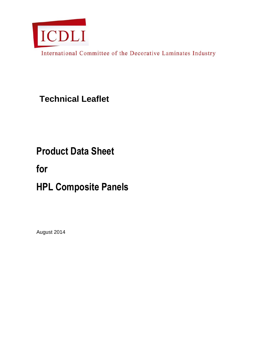

International Committee of the Decorative Laminates Industry

**Technical Leaflet**

# **Product Data Sheet**

**for**

# **HPL Composite Panels**

August 2014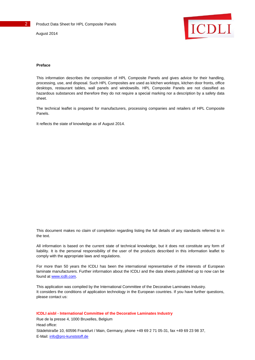August 2014



#### **Preface**

This information describes the composition of HPL Composite Panels and gives advice for their handling, processing, use, and disposal. Such HPL Composites are used as kitchen worktops, kitchen door fronts, office desktops, restaurant tables, wall panels and windowsills. HPL Composite Panels are not classified as hazardous substances and therefore they do not require a special marking nor a description by a safety data sheet.

The technical leaflet is prepared for manufacturers, processing companies and retailers of HPL Composite Panels.

It reflects the state of knowledge as of August 2014.

This document makes no claim of completion regarding listing the full details of any standards referred to in the text.

All information is based on the current state of technical knowledge, but it does not constitute any form of liability. It is the personal responsibility of the user of the products described in this information leaflet to comply with the appropriate laws and regulations.

For more than 50 years the ICDLI has been the international representative of the interests of European laminate manufacturers. Further information about the ICDLI and the data sheets published up to now can be found at [www.icdli.com.](http://www.icdli.com/)

This application was compiled by the International Committee of the Decorative Laminates Industry. It considers the conditions of application technology in the European countries. If you have further questions, please contact us:

**ICDLI aisbl - International Committee of the Decorative Laminates Industry** Rue de la presse 4, 1000 Bruxelles, Belgium Head office: Städelstraße 10, 60596 Frankfurt / Main, Germany, phone +49 69 2 71 05-31, fax +49 69 23 98 37, E-Mail[: info@pro-kunststoff.de](mailto:info@pro-kunststoff.de)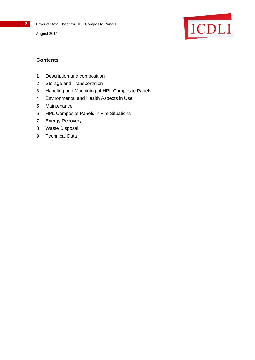Product Data Sheet for HPL Composite Panels

August 2014



# **Contents**

- Description and composition
- Storage and Transportation
- Handling and Machining of HPL Composite Panels
- Environmental and Health Aspects in Use
- Maintenance
- HPL Composite Panels in Fire Situations
- Energy Recovery
- Waste Disposal
- Technical Data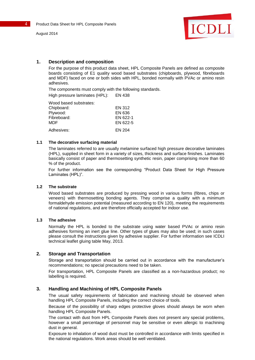



#### **1. Description and composition**

For the purpose of this product data sheet, HPL Composite Panels are defined as composite boards consisting of E1 quality wood based substrates (chipboards, plywood, fibreboards and MDF) faced on one or both sides with HPL, bonded normally with PVAc or amino resin adhesives.

The components must comply with the following standards. High pressure laminates (HPL): EN 438

Wood based substrates:

| ,,,,,,,,,,,,,,,,,,,,,,,,,,,,, |          |
|-------------------------------|----------|
| Chipboard:                    | EN 312   |
| Plywood:                      | EN 636   |
| Fibreboard:                   | EN 622-1 |
| MDF                           | EN 622-5 |
| Adhesives:                    | EN 204   |

#### **1.1 The decorative surfacing material**

The laminates referred to are usually melamine surfaced high pressure decorative laminates (HPL), supplied in sheet form in a variety of sizes, thickness and surface finishes. Laminates basically consist of paper and thermosetting synthetic resin, paper comprising more than 60 % of the product.

For further information see the corresponding "Product Data Sheet for High Pressure Laminates (HPL)".

#### **1.2 The substrate**

Wood based substrates are produced by pressing wood in various forms (fibres, chips or veneers) with thermosetting bonding agents. They comprise a quality with a minimum formaldehyde emission potential (measured according to EN 120), meeting the requirements of national regulations, and are therefore officially accepted for indoor use.

#### **1.3 The adhesive**

Normally the HPL is bonded to the substrate using water based PVAc or amino resin adhesives forming an inert glue line. Other types of glues may also be used; in such cases please consult the instructions given by adhesive supplier. For further information see ICDLI technical leaflet gluing table May, 2013.

# **2. Storage and Transportation**

Storage and transportation should be carried out in accordance with the manufacturer's recommendations; no special precautions need to be taken.

For transportation, HPL Composite Panels are classified as a non-hazardous product; no labelling is required.

#### **3. Handling and Machining of HPL Composite Panels**

The usual safety requirements of fabrication and machining should be observed when handling HPL Composite Panels, including the correct choice of tools.

Because of the possibility of sharp edges protective gloves should always be worn when handling HPL Composite Panels.

The contact with dust from HPL Composite Panels does not present any special problems, however a small percentage of personnel may be sensitive or even allergic to machining dust in general.

Exposure to inhalation of wood dust must be controlled in accordance with limits specified in the national regulations. Work areas should be well ventilated.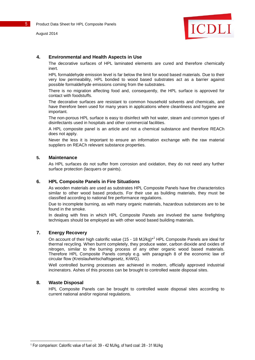5 **Product Data Sheet for HPL Composite Panels** 

August 2014



#### **4. Environmental and Health Aspects in Use**

The decorative surfaces of HPL laminated elements are cured and therefore chemically inert.

HPL formaldehyde emission level is far below the limit for wood based materials. Due to their very low permeability, HPL bonded to wood based substrates act as a barrier against possible formaldehyde emissions coming from the substrates.

There is no migration affecting food and, consequently, the HPL surface is approved for contact with foodstuffs.

The decorative surfaces are resistant to common household solvents and chemicals, and have therefore been used for many years in applications where cleanliness and hygiene are important.

The non-porous HPL surface is easy to disinfect with hot water, steam and common types of disinfectants used in hospitals and other commercial facilities.

A HPL composite panel is an article and not a chemical substance and therefore REACh does not apply.

Never the less it is important to ensure an information exchange with the raw material suppliers on REACh relevant substance properties.

#### **5. Maintenance**

As HPL surfaces do not suffer from corrosion and oxidation, they do not need any further surface protection (lacquers or paints).

#### **6. HPL Composite Panels in Fire Situations**

As wooden materials are used as substrates HPL Composite Panels have fire characteristics similar to other wood based products. For their use as building materials, they must be classified according to national fire performance regulations.

Due to incomplete burning, as with many organic materials, hazardous substances are to be found in the smoke.

In dealing with fires in which HPL Composite Panels are involved the same firefighting techniques should be employed as with other wood based building materials.

#### **7. Energy Recovery**

On account of their high calorific value (15 - 18 MJ/kg)<sup>\*1</sup> HPL Composite Panels are ideal for thermal recycling. When burnt completely, they produce water, carbon dioxide and oxides of nitrogen, similar to the burning process of any other organic wood based materials. Therefore HPL Composite Panels comply e.g. with paragraph 8 of the economic law of circular flow (Kreislaufwirtschaftsgesetz, KrWG).

Well controlled burning processes are achieved in modern, officially approved industrial incinerators. Ashes of this process can be brought to controlled waste disposal sites.

#### **8. Waste Disposal**

l

HPL Composite Panels can be brought to controlled waste disposal sites according to current national and/or regional regulations.

<sup>1</sup> For comparison: Calorific value of fuel oil: 39 - 42 MJ/kg, of hard coal: 28 - 31 MJ/kg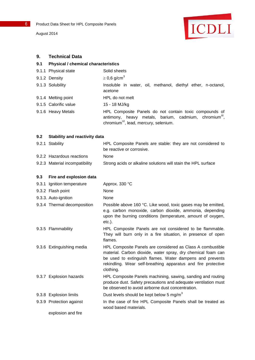August 2014



### **9. Technical Data**

# **9.1 Physical / chemical characteristics**

| 9.1.1 Physical state  | Solid sheets                                                                                                                                                                     |
|-----------------------|----------------------------------------------------------------------------------------------------------------------------------------------------------------------------------|
| 9.1.2 Density         | $\geq$ 0,6 g/cm <sup>3</sup>                                                                                                                                                     |
| 9.1.3 Solubility      | Insoluble in water, oil, methanol, diethyl ether, n-octanol,<br>acetone                                                                                                          |
| 9.1.4 Melting point   | HPL do not melt                                                                                                                                                                  |
| 9.1.5 Calorific value | 15 - 18 MJ/kg                                                                                                                                                                    |
| 9.1.6 Heavy Metals    | HPL Composite Panels do not contain toxic compounds of<br>antimony, heavy metals, barium, cadmium, chromium <sup>"1</sup> ,<br>chromium <sup>VI</sup> , lead, mercury, selenium. |

## **9.2 Stability and reactivity data**

| 9.2.1 Stability           | HPL Composite Panels are stable: they are not considered to |
|---------------------------|-------------------------------------------------------------|
|                           | be reactive or corrosive.                                   |
| 9.2.2 Hazardous reactions | None                                                        |

9.2.3 Material incompatibility Strong acids or alkaline solutions will stain the HPL surface

## **9.3 Fire and explosion data**

| 9.3.1 Ignition temperature  | Approx. 330 °C                                                                                                                                                                                                                                                       |
|-----------------------------|----------------------------------------------------------------------------------------------------------------------------------------------------------------------------------------------------------------------------------------------------------------------|
| 9.3.2 Flash point           | None                                                                                                                                                                                                                                                                 |
| 9.3.3. Auto-ignition        | None                                                                                                                                                                                                                                                                 |
| 9.3.4 Thermal decomposition | Possible above 160 °C. Like wood, toxic gases may be emitted,<br>e.g. carbon monoxide, carbon dioxide, ammonia, depending<br>upon the burning conditions (temperature, amount of oxygen,<br>$etc.$ ).                                                                |
| 9.3.5 Flammability          | HPL Composite Panels are not considered to be flammable.<br>They will burn only in a fire situation, in presence of open<br>flames.                                                                                                                                  |
| 9.3.6 Extinguishing media   | HPL Composite Panels are considered as Class A combustible<br>material. Carbon dioxide, water spray, dry chemical foam can<br>be used to extinguish flames. Water dampens and prevents<br>rekindling. Wear self-breathing apparatus and fire protective<br>clothing. |
| 9.3.7 Explosion hazards     | HPL Composite Panels machining, sawing, sanding and routing<br>produce dust. Safety precautions and adequate ventilation must<br>be observed to avoid airborne dust concentration.                                                                                   |
| 9.3.8 Explosion limits      | Dust levels should be kept below 5 mg/m <sup>3</sup>                                                                                                                                                                                                                 |
| 9.3.9 Protection against    | In the case of fire HPL Composite Panels shall be treated as<br>wood based materials.                                                                                                                                                                                |
| explosion and fire          |                                                                                                                                                                                                                                                                      |